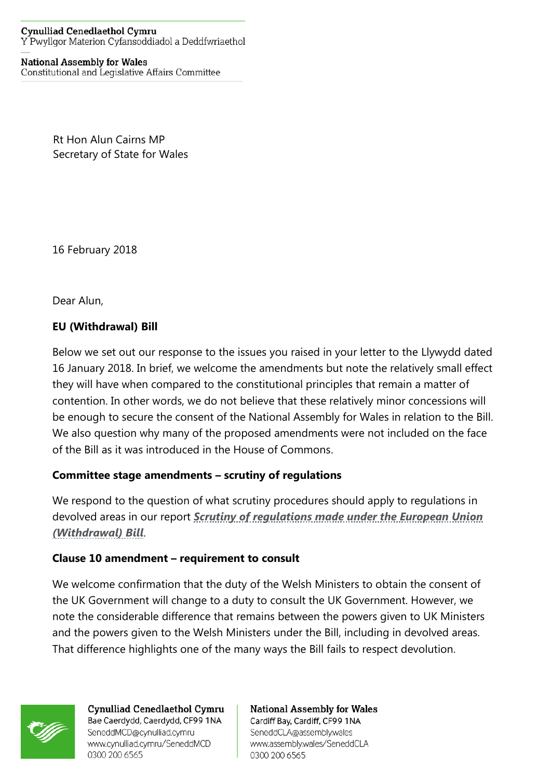#### Cynulliad Cenedlaethol Cymru Y Pwyllgor Materion Cyfansoddiadol a Deddfwriaethol

# **National Assembly for Wales**

Constitutional and Legislative Affairs Committee

Rt Hon Alun Cairns MP Secretary of State for Wales

16 February 2018

Dear Alun,

## **EU (Withdrawal) Bill**

Below we set out our response to the issues you raised in your letter to the Llywydd dated 16 January 2018. In brief, we welcome the amendments but note the relatively small effect they will have when compared to the constitutional principles that remain a matter of contention. In other words, we do not believe that these relatively minor concessions will be enough to secure the consent of the National Assembly for Wales in relation to the Bill. We also question why many of the proposed amendments were not included on the face of the Bill as it was introduced in the House of Commons.

### **Committee stage amendments – scrutiny of regulations**

We respond to the question of what scrutiny procedures should apply to regulations in devolved areas in our report *[Scrutiny of regulations made under the European Union](http://www.assembly.wales/laid%20documents/cr-ld11419/cr-ld11419-e.pdf)  [\(Withdrawal\) Bill](http://www.assembly.wales/laid%20documents/cr-ld11419/cr-ld11419-e.pdf)*.

### **Clause 10 amendment – requirement to consult**

We welcome confirmation that the duty of the Welsh Ministers to obtain the consent of the UK Government will change to a duty to consult the UK Government. However, we note the considerable difference that remains between the powers given to UK Ministers and the powers given to the Welsh Ministers under the Bill, including in devolved areas. That difference highlights one of the many ways the Bill fails to respect devolution.

0300 200 6565



Cynulliad Cenedlaethol Cymru Bae Caerdydd, Caerdydd, CF99 1NA SeneddMCD@cynulliad.cymru www.cynulliad.cymru/SeneddMCD 0300 200 6565

**National Assembly for Wales** Cardiff Bay, Cardiff, CF99 1NA SeneddCLA@assembly.wales www.assembly.wales/SeneddCLA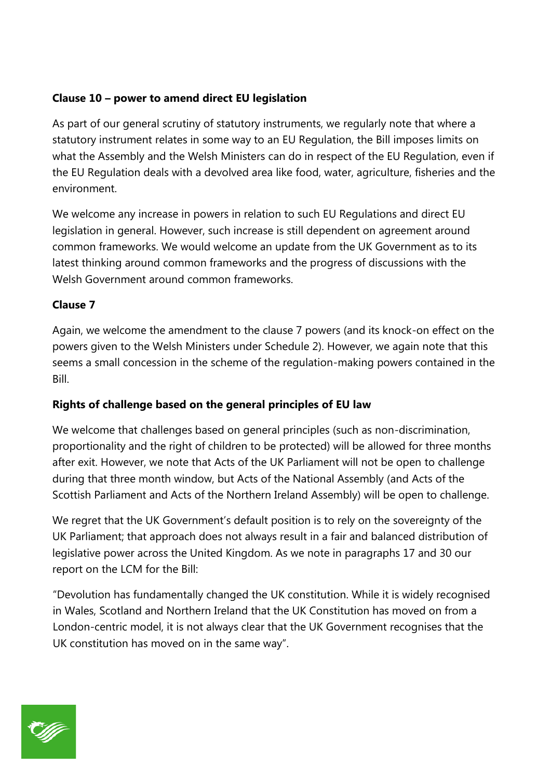#### **Clause 10 – power to amend direct EU legislation**

As part of our general scrutiny of statutory instruments, we regularly note that where a statutory instrument relates in some way to an EU Regulation, the Bill imposes limits on what the Assembly and the Welsh Ministers can do in respect of the EU Regulation, even if the EU Regulation deals with a devolved area like food, water, agriculture, fisheries and the environment.

We welcome any increase in powers in relation to such EU Regulations and direct EU legislation in general. However, such increase is still dependent on agreement around common frameworks. We would welcome an update from the UK Government as to its latest thinking around common frameworks and the progress of discussions with the Welsh Government around common frameworks.

#### **Clause 7**

Again, we welcome the amendment to the clause 7 powers (and its knock-on effect on the powers given to the Welsh Ministers under Schedule 2). However, we again note that this seems a small concession in the scheme of the regulation-making powers contained in the Bill.

### **Rights of challenge based on the general principles of EU law**

We welcome that challenges based on general principles (such as non-discrimination, proportionality and the right of children to be protected) will be allowed for three months after exit. However, we note that Acts of the UK Parliament will not be open to challenge during that three month window, but Acts of the National Assembly (and Acts of the Scottish Parliament and Acts of the Northern Ireland Assembly) will be open to challenge.

We regret that the UK Government's default position is to rely on the sovereignty of the UK Parliament; that approach does not always result in a fair and balanced distribution of legislative power across the United Kingdom. As we note in paragraphs 17 and 30 our report on the LCM for the Bill:

"Devolution has fundamentally changed the UK constitution. While it is widely recognised in Wales, Scotland and Northern Ireland that the UK Constitution has moved on from a London-centric model, it is not always clear that the UK Government recognises that the UK constitution has moved on in the same way".